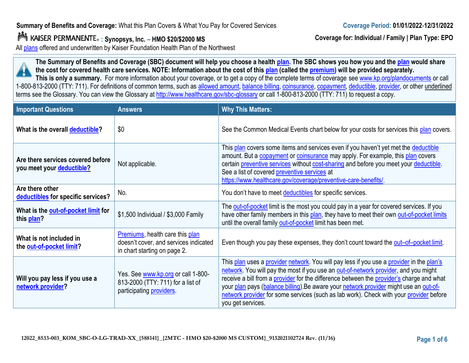# **Summary of Benefits and Coverage:** What this Plan Covers & What You Pay for Covered Services

# **: Synopsys, Inc. – HMO \$20/\$2000 MS**

All [plans](https://www.healthcare.gov/sbc-glossary/#plan) offered and underwritten by Kaiser Foundation Health Plan of the Northwest

**The Summary of Benefits and Coverage (SBC) document will help you choose a healt[h plan](https://www.healthcare.gov/sbc-glossary/#plan). The SBC shows you how you and th[e plan](https://www.healthcare.gov/sbc-glossary/#plan) would share the cost for covered health care services. NOTE: Information about the cost of this [plan](https://www.healthcare.gov/sbc-glossary/#plan) (called the [premium\)](https://www.healthcare.gov/sbc-glossary/#premium) will be provided separately.**

This is only a summary. For more information about your coverage, or to get a copy of the complete terms of coverage se[e www.kp.org/plandocuments](http://www.kp.org/plandocuments) or call 1-800-813-2000 (TTY: 711). For definitions of common terms, such as [allowed amount,](https://www.healthcare.gov/sbc-glossary/#allowed-amount) [balance billing,](https://www.healthcare.gov/sbc-glossary/#balance-billing) [coinsurance,](https://www.healthcare.gov/sbc-glossary/#coinsurance) [copayment,](https://www.healthcare.gov/sbc-glossary/#copayment) [deductible,](https://www.healthcare.gov/sbc-glossary/#deductible) [provider,](https://www.healthcare.gov/sbc-glossary/#provider) or other underlined terms see the Glossary. You can view the Glossary at <http://www.healthcare.gov/sbc-glossary> or call 1-800-813-2000 (TTY: 711) to request a copy.

| <b>Important Questions</b>                                     | <b>Answers</b>                                                                                              | <b>Why This Matters:</b>                                                                                                                                                                                                                                                                                                                                                                                                                                                            |
|----------------------------------------------------------------|-------------------------------------------------------------------------------------------------------------|-------------------------------------------------------------------------------------------------------------------------------------------------------------------------------------------------------------------------------------------------------------------------------------------------------------------------------------------------------------------------------------------------------------------------------------------------------------------------------------|
| What is the overall deductible?                                | \$0                                                                                                         | See the Common Medical Events chart below for your costs for services this plan covers.                                                                                                                                                                                                                                                                                                                                                                                             |
| Are there services covered before<br>you meet your deductible? | Not applicable.                                                                                             | This plan covers some items and services even if you haven't yet met the deductible<br>amount. But a copayment or coinsurance may apply. For example, this plan covers<br>certain preventive services without cost-sharing and before you meet your deductible.<br>See a list of covered preventive services at<br>https://www.healthcare.gov/coverage/preventive-care-benefits/.                                                                                                   |
| Are there other<br>deductibles for specific services?          | No.                                                                                                         | You don't have to meet deductibles for specific services.                                                                                                                                                                                                                                                                                                                                                                                                                           |
| What is the out-of-pocket limit for<br>this plan?              | \$1,500 Individual / \$3,000 Family                                                                         | The out-of-pocket limit is the most you could pay in a year for covered services. If you<br>have other family members in this plan, they have to meet their own out-of-pocket limits<br>until the overall family out-of-pocket limit has been met.                                                                                                                                                                                                                                  |
| What is not included in<br>the out-of-pocket limit?            | Premiums, health care this plan<br>doesn't cover, and services indicated<br>in chart starting on page 2.    | Even though you pay these expenses, they don't count toward the out-of-pocket limit.                                                                                                                                                                                                                                                                                                                                                                                                |
| Will you pay less if you use a<br>network provider?            | Yes. See www.kp.org or call 1-800-<br>813-2000 (TTY: 711) for a list of<br>participating <b>providers</b> . | This plan uses a provider network. You will pay less if you use a provider in the plan's<br>network. You will pay the most if you use an out-of-network provider, and you might<br>receive a bill from a provider for the difference between the provider's charge and what<br>your plan pays (balance billing). Be aware your network provider might use an out-of-<br>network provider for some services (such as lab work). Check with your provider before<br>you get services. |





**Coverage for: Individual / Family | Plan Type: EPO**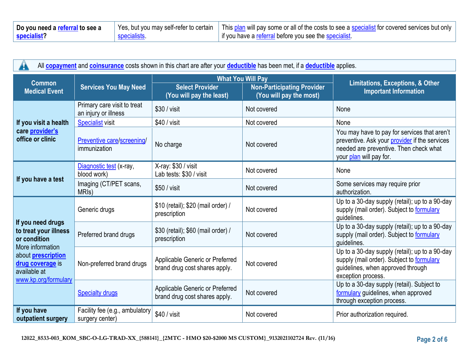| Do you need a referral to see a | Yes, but you may self-refer to certain | This plan will pay some or all of the costs to see a specialist for covered services but only |
|---------------------------------|----------------------------------------|-----------------------------------------------------------------------------------------------|
| specialist                      | specialists                            | If you have a referral before you see the specialist.                                         |

| All <b>copayment</b> and <b>coinsurance</b> costs shown in this chart are after your <b>deductible</b> has been met, if a <b>deductible</b> applies. |                                                     |                                                                  |                                                                                          |                                                                                                                                                                    |
|------------------------------------------------------------------------------------------------------------------------------------------------------|-----------------------------------------------------|------------------------------------------------------------------|------------------------------------------------------------------------------------------|--------------------------------------------------------------------------------------------------------------------------------------------------------------------|
| <b>Common</b><br><b>Medical Event</b>                                                                                                                | <b>Services You May Need</b>                        | <b>Select Provider</b><br>(You will pay the least)               | <b>What You Will Pay</b><br><b>Non-Participating Provider</b><br>(You will pay the most) | <b>Limitations, Exceptions, &amp; Other</b><br><b>Important Information</b>                                                                                        |
|                                                                                                                                                      | Primary care visit to treat<br>an injury or illness | $$30 / v$ isit                                                   | Not covered                                                                              | None                                                                                                                                                               |
| If you visit a health                                                                                                                                | <b>Specialist visit</b>                             | $$40 / v$ isit                                                   | Not covered                                                                              | None                                                                                                                                                               |
| care provider's<br>office or clinic                                                                                                                  | Preventive care/screening/<br>immunization          | No charge                                                        | Not covered                                                                              | You may have to pay for services that aren't<br>preventive. Ask your provider if the services<br>needed are preventive. Then check what<br>your plan will pay for. |
|                                                                                                                                                      | Diagnostic test (x-ray,<br>blood work)              | X-ray: \$30 / visit<br>Lab tests: \$30 / visit                   | Not covered                                                                              | None                                                                                                                                                               |
| If you have a test                                                                                                                                   | Imaging (CT/PET scans,<br>MRI <sub>s</sub> )        | \$50 / visit                                                     | Not covered                                                                              | Some services may require prior<br>authorization.                                                                                                                  |
|                                                                                                                                                      | Generic drugs                                       | \$10 (retail); \$20 (mail order) /<br>prescription               | Not covered                                                                              | Up to a 30-day supply (retail); up to a 90-day<br>supply (mail order). Subject to formulary<br>guidelines.                                                         |
| If you need drugs<br>to treat your illness<br>or condition<br>More information                                                                       | Preferred brand drugs                               | \$30 (retail); \$60 (mail order) /<br>prescription               | Not covered                                                                              | Up to a 30-day supply (retail); up to a 90-day<br>supply (mail order). Subject to formulary<br>guidelines.                                                         |
| about <b>prescription</b><br>drug coverage is<br>available at<br>www.kp.org/formulary                                                                | Non-preferred brand drugs                           | Applicable Generic or Preferred<br>brand drug cost shares apply. | Not covered                                                                              | Up to a 30-day supply (retail); up to a 90-day<br>supply (mail order). Subject to formulary<br>guidelines, when approved through<br>exception process.             |
|                                                                                                                                                      | <b>Specialty drugs</b>                              | Applicable Generic or Preferred<br>brand drug cost shares apply. | Not covered                                                                              | Up to a 30-day supply (retail). Subject to<br>formulary guidelines, when approved<br>through exception process.                                                    |
| If you have<br>outpatient surgery                                                                                                                    | Facility fee (e.g., ambulatory<br>surgery center)   | \$40 / visit                                                     | Not covered                                                                              | Prior authorization required.                                                                                                                                      |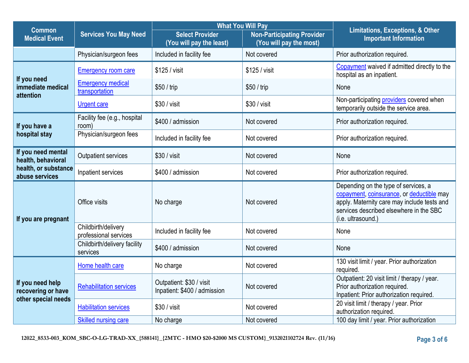|                                          |                                              | <b>What You Will Pay</b>                                 |                                                              | <b>Limitations, Exceptions, &amp; Other</b>                                                                                                                                                       |  |
|------------------------------------------|----------------------------------------------|----------------------------------------------------------|--------------------------------------------------------------|---------------------------------------------------------------------------------------------------------------------------------------------------------------------------------------------------|--|
| <b>Common</b><br><b>Medical Event</b>    | <b>Services You May Need</b>                 | <b>Select Provider</b><br>(You will pay the least)       | <b>Non-Participating Provider</b><br>(You will pay the most) | <b>Important Information</b>                                                                                                                                                                      |  |
|                                          | Physician/surgeon fees                       | Included in facility fee                                 | Not covered                                                  | Prior authorization required.                                                                                                                                                                     |  |
| If you need                              | <b>Emergency room care</b>                   | \$125 / visit                                            | \$125 / visit                                                | Copayment waived if admitted directly to the<br>hospital as an inpatient.                                                                                                                         |  |
| immediate medical<br>attention           | <b>Emergency medical</b><br>transportation   | \$50 / trip                                              | \$50 / trip                                                  | None                                                                                                                                                                                              |  |
|                                          | <b>Urgent care</b>                           | \$30 / visit                                             | \$30 / visit                                                 | Non-participating providers covered when<br>temporarily outside the service area.                                                                                                                 |  |
| If you have a                            | Facility fee (e.g., hospital<br>room)        | \$400 / admission                                        | Not covered                                                  | Prior authorization required.                                                                                                                                                                     |  |
| hospital stay                            | Physician/surgeon fees                       | Included in facility fee                                 | Not covered                                                  | Prior authorization required.                                                                                                                                                                     |  |
| If you need mental<br>health, behavioral | Outpatient services                          | \$30 / visit                                             | Not covered                                                  | None                                                                                                                                                                                              |  |
| health, or substance<br>abuse services   | Inpatient services                           | \$400 / admission                                        | Not covered                                                  | Prior authorization required.                                                                                                                                                                     |  |
| If you are pregnant                      | Office visits                                | No charge                                                | Not covered                                                  | Depending on the type of services, a<br>copayment, coinsurance, or deductible may<br>apply. Maternity care may include tests and<br>services described elsewhere in the SBC<br>(i.e. ultrasound.) |  |
|                                          | Childbirth/delivery<br>professional services | Included in facility fee                                 | Not covered                                                  | None                                                                                                                                                                                              |  |
|                                          | Childbirth/delivery facility<br>services     | \$400 / admission                                        | Not covered                                                  | None                                                                                                                                                                                              |  |
|                                          | Home health care                             | No charge                                                | Not covered                                                  | 130 visit limit / year. Prior authorization<br>required.                                                                                                                                          |  |
| If you need help<br>recovering or have   | <b>Rehabilitation services</b>               | Outpatient: \$30 / visit<br>Inpatient: \$400 / admission | Not covered                                                  | Outpatient: 20 visit limit / therapy / year.<br>Prior authorization required.<br>Inpatient: Prior authorization required.                                                                         |  |
| other special needs                      | <b>Habilitation services</b>                 | \$30 / visit                                             | Not covered                                                  | 20 visit limit / therapy / year. Prior<br>authorization required.                                                                                                                                 |  |
|                                          | <b>Skilled nursing care</b>                  | No charge                                                | Not covered                                                  | 100 day limit / year. Prior authorization                                                                                                                                                         |  |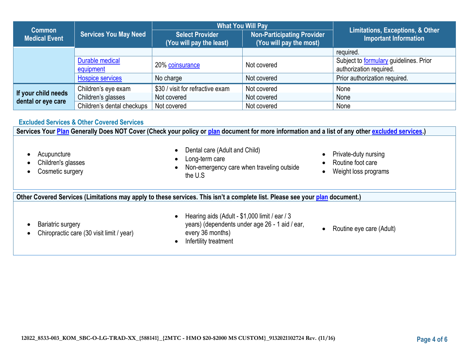|                                           |                              | <b>What You Will Pay</b>                           |                                                              | <b>Limitations, Exceptions, &amp; Other</b>                              |  |
|-------------------------------------------|------------------------------|----------------------------------------------------|--------------------------------------------------------------|--------------------------------------------------------------------------|--|
| <b>Common</b><br><b>Medical Event</b>     | <b>Services You May Need</b> | <b>Select Provider</b><br>(You will pay the least) | <b>Non-Participating Provider</b><br>(You will pay the most) | <b>Important Information</b>                                             |  |
|                                           |                              |                                                    |                                                              | required.                                                                |  |
|                                           | Durable medical<br>equipment | 20% coinsurance                                    | Not covered                                                  | Subject to <b>formulary</b> guidelines. Prior<br>authorization required. |  |
|                                           | <b>Hospice services</b>      | No charge                                          | Not covered                                                  | Prior authorization required.                                            |  |
|                                           | Children's eye exam          | \$30 / visit for refractive exam                   | Not covered                                                  | None                                                                     |  |
| If your child needs<br>dental or eye care | Children's glasses           | Not covered                                        | Not covered                                                  | None                                                                     |  |
|                                           | Children's dental checkups   | Not covered                                        | Not covered                                                  | None                                                                     |  |

# **Excluded Services & Other Covered Services**

**Services Your [Plan](https://www.healthcare.gov/sbc-glossary/#plan) Generally Does NOT Cover (Check your policy or [plan](https://www.healthcare.gov/sbc-glossary/#plan) document for more information and a list of any other [excluded services.](https://www.healthcare.gov/sbc-glossary/#excluded-services))**

**Acupuncture** • Children's glasses • Cosmetic surgery • Dental care (Adult and Child) Long-term care • Non-emergency care when traveling outside the U.S • Private-duty nursing Routine foot care • Weight loss programs **Other Covered Services (Limitations may apply to these services. This isn't a complete list. Please see your [plan](https://www.healthcare.gov/sbc-glossary/#plan) document.) Bariatric surgery** • Chiropractic care (30 visit limit / year) • Hearing aids (Adult - \$1,000 limit / ear / 3 years) (dependents under age 26 - 1 aid / ear, every 36 months) • Infertility treatment • Routine eye care (Adult)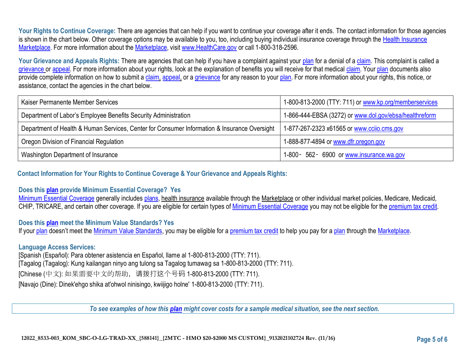Your Rights to Continue Coverage: There are agencies that can help if you want to continue your coverage after it ends. The contact information for those agencies is shown in the chart below. Other coverage options may be available to you, too, including buying individual insurance coverage through the Health Insurance [Marketplace.](https://www.healthcare.gov/sbc-glossary/#marketplace) For more information about the [Marketplace,](https://www.healthcare.gov/sbc-glossary/#marketplace) visit [www.HealthCare.gov](http://www.healthcare.gov/) or call 1-800-318-2596.

Your Grievance and Appeals Rights: There are agencies that can help if you have a complaint against your [plan](https://www.healthcare.gov/sbc-glossary/#plan) for a denial of a [claim.](https://www.healthcare.gov/sbc-glossary/#claim) This complaint is called a [grievance](https://www.healthcare.gov/sbc-glossary/#grievance) or [appeal.](https://www.healthcare.gov/sbc-glossary/#appeal) For more information about your rights, look at the explanation of benefits you will receive for that medical [claim.](https://www.healthcare.gov/sbc-glossary/#claim) Your [plan](https://www.healthcare.gov/sbc-glossary/#plan) documents also provide complete information on how to submit a [claim,](https://www.healthcare.gov/sbc-glossary/#claim) [appeal,](https://www.healthcare.gov/sbc-glossary/#appeal) or a [grievance](https://www.healthcare.gov/sbc-glossary/#grievance) for any reason to your [plan.](https://www.healthcare.gov/sbc-glossary/#plan) For more information about your rights, this notice, or assistance, contact the agencies in the chart below.

| Kaiser Permanente Member Services                                                            | 1-800-813-2000 (TTY: 711) or www.kp.org/memberservices |
|----------------------------------------------------------------------------------------------|--------------------------------------------------------|
| Department of Labor's Employee Benefits Security Administration                              | 1-866-444-EBSA (3272) or www.dol.gov/ebsa/healthreform |
| Department of Health & Human Services, Center for Consumer Information & Insurance Oversight | 1-877-267-2323 x61565 or www.ccijo.cms.gov             |
| Oregon Division of Financial Regulation                                                      | 1-888-877-4894 or www.dfr.oregon.gov                   |
| Washington Department of Insurance                                                           | 1-800 - 562 - 6900 or www.insurance.wa.gov             |

**Contact Information for Your Rights to Continue Coverage & Your Grievance and Appeals Rights:**

# **Does this [plan](https://www.healthcare.gov/sbc-glossary/#plan) provide Minimum Essential Coverage? Yes**

[Minimum Essential Coverage](https://www.healthcare.gov/sbc-glossary/#minimum-essential-coverage) generally include[s plans,](https://www.healthcare.gov/sbc-glossary/#plan) health insurance available through the Marketplace or other individual market policies, Medicare, Medicaid, CHIP, TRICARE, and certain other coverage. If you are eligible for certain types of [Minimum Essential Coverage](https://www.healthcare.gov/sbc-glossary/#minimum-essential-coverage) you may not be eligible for the [premium tax credit.](https://www.healthcare.gov/sbc-glossary/#premium-tax-credits)

# **Does this [plan](https://www.healthcare.gov/sbc-glossary/#plan) meet the Minimum Value Standards? Yes**

If your [plan](https://www.healthcare.gov/sbc-glossary/#plan) doesn't meet the [Minimum Value Standards,](https://www.healthcare.gov/sbc-glossary/#minimum-value-standard) you may be eligible for a [premium tax credit](https://www.healthcare.gov/sbc-glossary/#premium-tax-credits) to help you pay for a plan through the [Marketplace.](https://www.healthcare.gov/sbc-glossary/#marketplace)

# **Language Access Services:**

[Spanish (Español): Para obtener asistencia en Español, llame al 1-800-813-2000 (TTY: 711). [Tagalog (Tagalog): Kung kailangan ninyo ang tulong sa Tagalog tumawag sa 1-800-813-2000 (TTY: 711). [Chinese (中文): 如果需要中文的帮助,请拨打这个号码 1-800-813-2000 (TTY: 711). [Navajo (Dine): Dinek'ehgo shika at'ohwol ninisingo, kwiijigo holne' 1-800-813-2000 (TTY: 711).

*To see examples of how this [plan](https://www.healthcare.gov/sbc-glossary/#plan) might cover costs for a sample medical situation, see the next section.*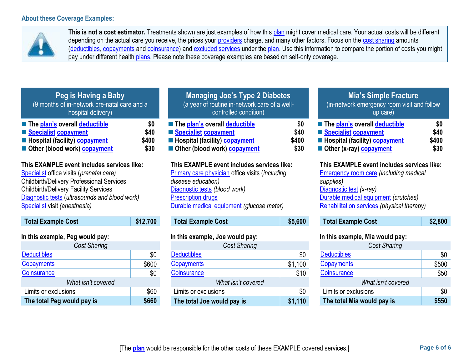

**This is not a cost estimator.** Treatments shown are just examples of how thi[s plan](https://www.healthcare.gov/sbc-glossary/#plan) might cover medical care. Your actual costs will be different depending on the actual care you receive, the prices your [providers](https://www.healthcare.gov/sbc-glossary/#provider) charge, and many other factors. Focus on the [cost sharing](https://www.healthcare.gov/sbc-glossary/#cost-sharing) amounts [\(deductibles,](https://www.healthcare.gov/sbc-glossary/#deductible) [copayments](https://www.healthcare.gov/sbc-glossary/#copayment) and [coinsurance\)](https://www.healthcare.gov/sbc-glossary/#coinsurance) and [excluded services](https://www.healthcare.gov/sbc-glossary/#excluded-services) under the [plan.](https://www.healthcare.gov/sbc-glossary/#plan) Use this information to compare the portion of costs you might pay under different health [plans.](https://www.healthcare.gov/sbc-glossary/#plan) Please note these coverage examples are based on self-only coverage.

| Peg is Having a Baby                                               |       |
|--------------------------------------------------------------------|-------|
| (9 months of in-network pre-natal care and a<br>hospital delivery) |       |
| <b>The plan's overall deductible</b>                               | \$0   |
| Specialist copayment                                               | \$40  |
| <b>E</b> Hospital (facility) <b>copayment</b>                      | \$400 |

■ Other (blood work) [copayment](https://www.healthcare.gov/sbc-glossary/#copayment) **\$30** 

# **This EXAMPLE event includes services like:**

[Specialist](https://www.healthcare.gov/sbc-glossary/#specialist) office visits (*prenatal care)* Childbirth/Delivery Professional Services Childbirth/Delivery Facility Services [Diagnostic tests](https://www.healthcare.gov/sbc-glossary/#diagnostic-test) (*ultrasounds and blood work)* [Specialist](https://www.healthcare.gov/sbc-glossary/#specialist) visit *(anesthesia)* 

| <b>Total Example Cost</b>       | \$12,700 |
|---------------------------------|----------|
| In this example, Peg would pay: |          |
| <b>Cost Sharing</b>             |          |
| <b>Deductibles</b>              | \$0      |
| Copayments                      | \$600    |
| Coinsurance                     | \$0      |
| What isn't covered              |          |
| Limits or exclusions            |          |

**The total Peg would pay is \$660**

| <b>Managing Joe's Type 2 Diabetes</b><br>(a year of routine in-network care of a well-<br>controlled condition)                               |                              |
|-----------------------------------------------------------------------------------------------------------------------------------------------|------------------------------|
| <b>The plan's overall deductible</b><br>Specialist copayment<br><b>E</b> Hospital (facility) <b>copayment</b><br>Other (blood work) copayment | \$0<br>\$40<br>\$400<br>\$30 |
| This EXAMPLE event includes services like:<br>Primary care physician office visits (including                                                 |                              |

# *disease education)* [Diagnostic tests](https://www.healthcare.gov/sbc-glossary/#diagnostic-test) *(blood work)* **[Prescription drugs](https://www.healthcare.gov/sbc-glossary/#prescription-drugs)** [Durable medical equipment](https://www.healthcare.gov/sbc-glossary/#durable-medical-equipment) *(glucose meter)*

| <b>Total Example Cost</b> | \$5,600 |
|---------------------------|---------|
|                           |         |

# **In this example, Joe would pay:**

| <b>Cost Sharing</b>        |         |  |
|----------------------------|---------|--|
| <b>Deductibles</b>         | \$0     |  |
| Copayments                 | \$1,100 |  |
| Coinsurance                | \$10    |  |
| What isn't covered         |         |  |
| Limits or exclusions       | \$0     |  |
| The total Joe would pay is | \$1,110 |  |

# **Mia's Simple Fracture**

(in-network emergency room visit and follow up care)

| ■ The plan's overall deductible               | SO.   |
|-----------------------------------------------|-------|
| Specialist copayment                          | \$40  |
| <b>E</b> Hospital (facility) <b>copayment</b> | \$400 |
| Other (x-ray) copayment                       | \$30  |

# **This EXAMPLE event includes services like:**

[Emergency room care](https://www.healthcare.gov/sbc-glossary/#emergency-room-care-emergency-services) *(including medical supplies)* [Diagnostic test](https://www.healthcare.gov/sbc-glossary/#diagnostic-test) *(x-ray)* [Durable medical equipment](https://www.healthcare.gov/sbc-glossary/#durable-medical-equipment) *(crutches)* [Rehabilitation services](https://www.healthcare.gov/sbc-glossary/#rehabilitation-services) *(physical therapy)*

| <b>Total Example Cost</b> | \$2,800 |
|---------------------------|---------|
|---------------------------|---------|

# **In this example, Mia would pay:**

| <b>Cost Sharing</b>        |       |  |
|----------------------------|-------|--|
| <b>Deductibles</b>         | \$0   |  |
| Copayments                 | \$500 |  |
| Coinsurance                | \$50  |  |
| What isn't covered         |       |  |
| Limits or exclusions       | \$0   |  |
| The total Mia would pay is | \$550 |  |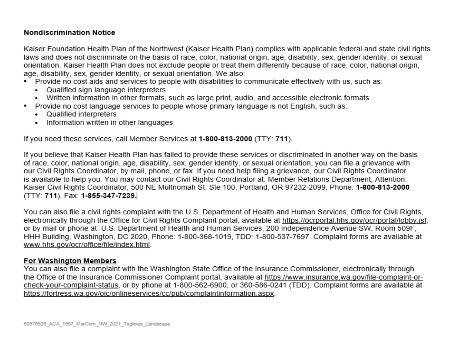# **Nondiscrimination Notice**

Kaiser Foundation Health Plan of the Northwest (Kaiser Health Plan) complies with applicable federal and state civil rights laws and does not discriminate on the basis of race, color, national origin, age, disability, sex, gender identity, or sexual orientation. Kaiser Health Plan does not exclude people or treat them differently because of race, color, national origin, age, disability, sex, gender identity, or sexual orientation. We also:

- Provide no cost aids and services to people with disabilities to communicate effectively with us, such as:
	- Qualified sign language interpreters
	- Written information in other formats, such as large print, audio, and accessible electronic formats
- Provide no cost language services to people whose primary language is not English, such as:
	- Qualified interpreters
	- Information written in other languages

If you need these services, call Member Services at 1-800-813-2000 (TTY: 711).

If you believe that Kaiser Health Plan has failed to provide these services or discriminated in another way on the basis of race, color, national origin, age, disability, sex, gender identity, or sexual orientation, you can file a grievance with our Civil Rights Coordinator, by mail, phone, or fax. If you need help filing a grievance, our Civil Rights Coordinator is available to help you. You may contact our Civil Rights Coordinator at: Member Relations Department, Attention: Kaiser Civil Rights Coordinator, 500 NE Multnomah St. Ste 100, Portland, OR 97232-2099, Phone: 1-800-813-2000 (TTY: 711), Fax: 1-855-347-7239.

You can also file a civil rights complaint with the U.S. Department of Health and Human Services, Office for Civil Rights, electronically through the Office for Civil Rights Complaint portal, available at https://ocrportal.hhs.gov/ocr/portal/lobby.jsf, or by mail or phone at: U.S. Department of Health and Human Services, 200 Independence Avenue SW, Room 509F, HHH Building, Washington, DC 2020, Phone: 1-800-368-1019, TDD: 1-800-537-7697. Complaint forms are available at www.hhs.gov/ocr/office/file/index.html.

# For Washington Members

You can also file a complaint with the Washington State Office of the Insurance Commissioner, electronically through the Office of the Insurance Commissioner Complaint portal, available at https://www.insurance.wa.gov/file-complaint-orcheck-your-complaint-status, or by phone at 1-800-562-6900, or 360-586-0241 (TDD). Complaint forms are available at https://fortress.wa.gov/oic/onlineservices/cc/pub/complaintinformation.aspx.